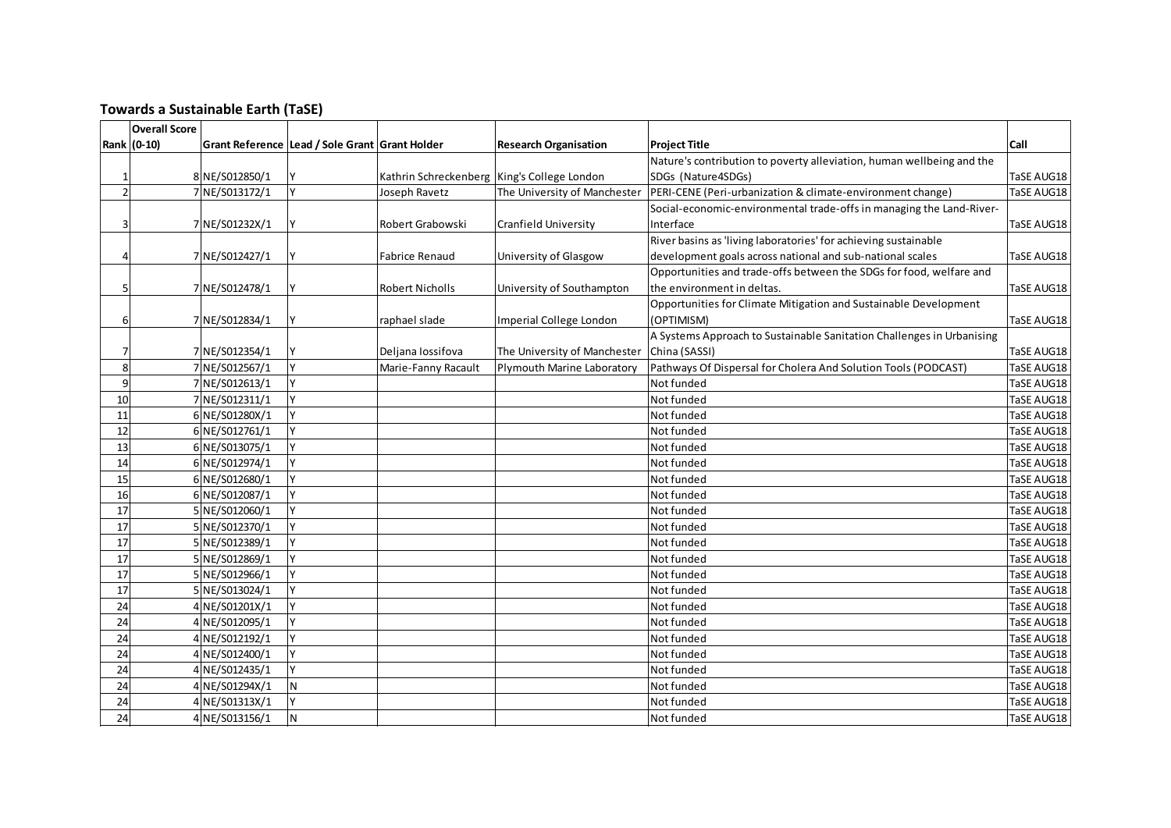## **Towards a Sustainable Earth (TaSE)**

|                | <b>Overall Score</b> |                |                                                |                                               |                              |                                                                       |             |
|----------------|----------------------|----------------|------------------------------------------------|-----------------------------------------------|------------------------------|-----------------------------------------------------------------------|-------------|
|                | Rank (0-10)          |                | Grant Reference Lead / Sole Grant Grant Holder |                                               | <b>Research Organisation</b> | <b>Project Title</b>                                                  | <b>Call</b> |
|                |                      |                |                                                |                                               |                              | Nature's contribution to poverty alleviation, human wellbeing and the |             |
|                |                      | 8 NE/S012850/1 |                                                | Kathrin Schreckenberg   King's College London |                              | SDGs (Nature4SDGs)                                                    | TaSE AUG18  |
| $\overline{2}$ |                      | 7 NE/S013172/1 | Y                                              | Joseph Ravetz                                 | The University of Manchester | PERI-CENE (Peri-urbanization & climate-environment change)            | TaSE AUG18  |
|                |                      |                |                                                |                                               |                              | Social-economic-environmental trade-offs in managing the Land-River-  |             |
|                |                      | 7 NE/S01232X/1 | Y                                              | Robert Grabowski                              | Cranfield University         | Interface                                                             | TaSE AUG18  |
|                |                      |                |                                                |                                               |                              | River basins as 'living laboratories' for achieving sustainable       |             |
|                |                      | 7 NE/S012427/1 | Y                                              | Fabrice Renaud                                | University of Glasgow        | development goals across national and sub-national scales             | TaSE AUG18  |
|                |                      |                |                                                |                                               |                              | Opportunities and trade-offs between the SDGs for food, welfare and   |             |
|                |                      | 7 NE/S012478/1 | Y                                              | <b>Robert Nicholls</b>                        | University of Southampton    | the environment in deltas.                                            | TaSE AUG18  |
|                |                      |                |                                                |                                               |                              | Opportunities for Climate Mitigation and Sustainable Development      |             |
| 6              |                      | 7 NE/S012834/1 | Y                                              | raphael slade                                 | Imperial College London      | (OPTIMISM)                                                            | TaSE AUG18  |
|                |                      |                |                                                |                                               |                              | A Systems Approach to Sustainable Sanitation Challenges in Urbanising |             |
|                |                      | 7 NE/S012354/1 |                                                | Deljana Iossifova                             | The University of Manchester | China (SASSI)                                                         | TaSE AUG18  |
| 8              |                      | 7 NE/S012567/1 | Y                                              | Marie-Fanny Racault                           | Plymouth Marine Laboratory   | Pathways Of Dispersal for Cholera And Solution Tools (PODCAST)        | TaSE AUG18  |
| 9              |                      | 7 NE/S012613/1 | v                                              |                                               |                              | Not funded                                                            | TaSE AUG18  |
| 10             |                      | 7 NE/S012311/1 | v                                              |                                               |                              | Not funded                                                            | TaSE AUG18  |
| 11             |                      | 6 NE/S01280X/1 | v                                              |                                               |                              | Not funded                                                            | TaSE AUG18  |
| 12             |                      | 6 NE/S012761/1 |                                                |                                               |                              | Not funded                                                            | TaSE AUG18  |
| 13             |                      | 6 NE/S013075/1 | v                                              |                                               |                              | Not funded                                                            | TaSE AUG18  |
| 14             |                      | 6 NE/S012974/1 | v                                              |                                               |                              | Not funded                                                            | TaSE AUG18  |
| 15             |                      | 6 NE/S012680/1 | v                                              |                                               |                              | Not funded                                                            | TaSE AUG18  |
| 16             |                      | 6 NE/S012087/1 | v                                              |                                               |                              | Not funded                                                            | TaSE AUG18  |
| 17             |                      | 5 NE/S012060/1 | v                                              |                                               |                              | Not funded                                                            | TaSE AUG18  |
| 17             |                      | 5 NE/S012370/1 | v                                              |                                               |                              | Not funded                                                            | TaSE AUG18  |
| 17             |                      | 5 NE/S012389/1 |                                                |                                               |                              | Not funded                                                            | TaSE AUG18  |
| 17             |                      | 5 NE/S012869/1 |                                                |                                               |                              | Not funded                                                            | TaSE AUG18  |
| 17             |                      | 5 NE/S012966/1 |                                                |                                               |                              | Not funded                                                            | TaSE AUG18  |
| 17             |                      | 5 NE/S013024/1 |                                                |                                               |                              | Not funded                                                            | TaSE AUG18  |
| 24             |                      | 4 NE/S01201X/1 |                                                |                                               |                              | Not funded                                                            | TaSE AUG18  |
| 24             |                      | 4 NE/S012095/1 |                                                |                                               |                              | Not funded                                                            | TaSE AUG18  |
| 24             |                      | 4 NE/S012192/1 |                                                |                                               |                              | Not funded                                                            | TaSE AUG18  |
| 24             |                      | 4 NE/S012400/1 | Y                                              |                                               |                              | Not funded                                                            | TaSE AUG18  |
| 24             |                      | 4 NE/S012435/1 | Y                                              |                                               |                              | Not funded                                                            | TaSE AUG18  |
| 24             |                      | 4 NE/S01294X/1 | N                                              |                                               |                              | Not funded                                                            | TaSE AUG18  |
| 24             |                      | 4 NE/S01313X/1 | Y                                              |                                               |                              | Not funded                                                            | TaSE AUG18  |
| 24             |                      | 4 NE/S013156/1 | N                                              |                                               |                              | Not funded                                                            | TaSE AUG18  |